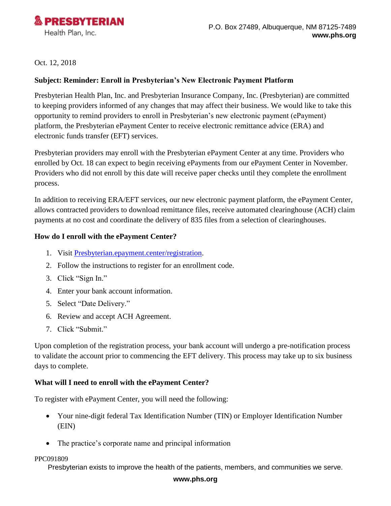

Oct. 12, 2018

## **Subject: Reminder: Enroll in Presbyterian's New Electronic Payment Platform**

Presbyterian Health Plan, Inc. and Presbyterian Insurance Company, Inc. (Presbyterian) are committed to keeping providers informed of any changes that may affect their business. We would like to take this opportunity to remind providers to enroll in Presbyterian's new electronic payment (ePayment) platform, the Presbyterian ePayment Center to receive electronic remittance advice (ERA) and electronic funds transfer (EFT) services.

Presbyterian providers may enroll with the Presbyterian ePayment Center at any time. Providers who enrolled by Oct. 18 can expect to begin receiving ePayments from our ePayment Center in November. Providers who did not enroll by this date will receive paper checks until they complete the enrollment process.

In addition to receiving ERA/EFT services, our new electronic payment platform, the ePayment Center, allows contracted providers to download remittance files, receive automated clearinghouse (ACH) claim payments at no cost and coordinate the delivery of 835 files from a selection of clearinghouses.

### **How do I enroll with the ePayment Center?**

- 1. Visit [Presbyterian.epayment.center/registration.](Presbyterian.epayment.center/registration)
- 2. Follow the instructions to register for an enrollment code.
- 3. Click "Sign In."
- 4. Enter your bank account information.
- 5. Select "Date Delivery."
- 6. Review and accept ACH Agreement.
- 7. Click "Submit."

Upon completion of the registration process, your bank account will undergo a pre-notification process to validate the account prior to commencing the EFT delivery. This process may take up to six business days to complete.

### **What will I need to enroll with the ePayment Center?**

To register with ePayment Center, you will need the following:

- Your nine-digit federal Tax Identification Number (TIN) or Employer Identification Number (EIN)
- The practice's corporate name and principal information

#### PPC091809

Presbyterian exists to improve the health of the patients, members, and communities we serve.

#### **www.phs.org**